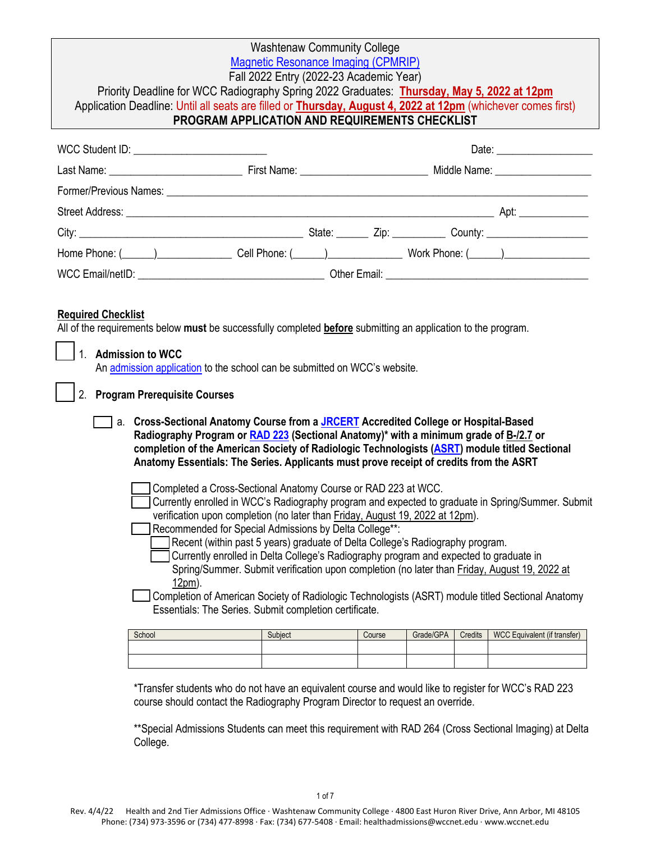|                                                                                                                                                                                                                                                                                                                                                                                                                                                                                                                                                                                                                                                                                                                                                                  | Priority Deadline for WCC Radiography Spring 2022 Graduates: Thursday, May 5, 2022 at 12pm<br>Application Deadline: Until all seats are filled or Thursday, August 4, 2022 at 12pm (whichever comes first)<br>PROGRAM APPLICATION AND REQUIREMENTS CHECKLIST | <b>Washtenaw Community College</b><br>Magnetic Resonance Imaging (CPMRIP)<br>Fall 2022 Entry (2022-23 Academic Year) |  |        |           |         |                              |
|------------------------------------------------------------------------------------------------------------------------------------------------------------------------------------------------------------------------------------------------------------------------------------------------------------------------------------------------------------------------------------------------------------------------------------------------------------------------------------------------------------------------------------------------------------------------------------------------------------------------------------------------------------------------------------------------------------------------------------------------------------------|--------------------------------------------------------------------------------------------------------------------------------------------------------------------------------------------------------------------------------------------------------------|----------------------------------------------------------------------------------------------------------------------|--|--------|-----------|---------|------------------------------|
|                                                                                                                                                                                                                                                                                                                                                                                                                                                                                                                                                                                                                                                                                                                                                                  | WCC Student ID: _____________________________                                                                                                                                                                                                                |                                                                                                                      |  |        |           |         |                              |
|                                                                                                                                                                                                                                                                                                                                                                                                                                                                                                                                                                                                                                                                                                                                                                  |                                                                                                                                                                                                                                                              |                                                                                                                      |  |        |           |         |                              |
|                                                                                                                                                                                                                                                                                                                                                                                                                                                                                                                                                                                                                                                                                                                                                                  |                                                                                                                                                                                                                                                              |                                                                                                                      |  |        |           |         |                              |
|                                                                                                                                                                                                                                                                                                                                                                                                                                                                                                                                                                                                                                                                                                                                                                  |                                                                                                                                                                                                                                                              |                                                                                                                      |  |        |           |         |                              |
|                                                                                                                                                                                                                                                                                                                                                                                                                                                                                                                                                                                                                                                                                                                                                                  |                                                                                                                                                                                                                                                              |                                                                                                                      |  |        |           |         |                              |
|                                                                                                                                                                                                                                                                                                                                                                                                                                                                                                                                                                                                                                                                                                                                                                  |                                                                                                                                                                                                                                                              |                                                                                                                      |  |        |           |         |                              |
|                                                                                                                                                                                                                                                                                                                                                                                                                                                                                                                                                                                                                                                                                                                                                                  |                                                                                                                                                                                                                                                              |                                                                                                                      |  |        |           |         |                              |
| All of the requirements below must be successfully completed before submitting an application to the program.<br>1 <sub>1</sub><br><b>Admission to WCC</b><br>An admission application to the school can be submitted on WCC's website.<br><b>Program Prerequisite Courses</b><br>2.<br>a. Cross-Sectional Anatomy Course from a JRCERT Accredited College or Hospital-Based<br>Radiography Program or RAD 223 (Sectional Anatomy)* with a minimum grade of B-/2.7 or<br>completion of the American Society of Radiologic Technologists (ASRT) module titled Sectional<br>Anatomy Essentials: The Series. Applicants must prove receipt of credits from the ASRT                                                                                                 |                                                                                                                                                                                                                                                              |                                                                                                                      |  |        |           |         |                              |
| Completed a Cross-Sectional Anatomy Course or RAD 223 at WCC.<br>Currently enrolled in WCC's Radiography program and expected to graduate in Spring/Summer. Submit<br>verification upon completion (no later than Friday, August 19, 2022 at 12pm).<br>Recommended for Special Admissions by Delta College**:<br>Recent (within past 5 years) graduate of Delta College's Radiography program.<br>Currently enrolled in Delta College's Radiography program and expected to graduate in<br>Spring/Summer. Submit verification upon completion (no later than Friday, August 19, 2022 at<br>12pm).<br>Completion of American Society of Radiologic Technologists (ASRT) module titled Sectional Anatomy<br>Essentials: The Series. Submit completion certificate. |                                                                                                                                                                                                                                                              |                                                                                                                      |  |        |           |         |                              |
|                                                                                                                                                                                                                                                                                                                                                                                                                                                                                                                                                                                                                                                                                                                                                                  | School                                                                                                                                                                                                                                                       | Subject                                                                                                              |  | Course | Grade/GPA | Credits | WCC Equivalent (if transfer) |

| <b>SCNOOL</b> | Subiect | Course | Grade/GPA | Crealts | <b>WUC Equivalent (if transfer)</b> |
|---------------|---------|--------|-----------|---------|-------------------------------------|
|               |         |        |           |         |                                     |
|               |         |        |           |         |                                     |
|               |         |        |           |         |                                     |
|               |         |        |           |         |                                     |
|               |         |        |           |         |                                     |

\*Transfer students who do not have an equivalent course and would like to register for WCC's RAD 223 course should contact the Radiography Program Director to request an override.

\*\*Special Admissions Students can meet this requirement with RAD 264 (Cross Sectional Imaging) at Delta College.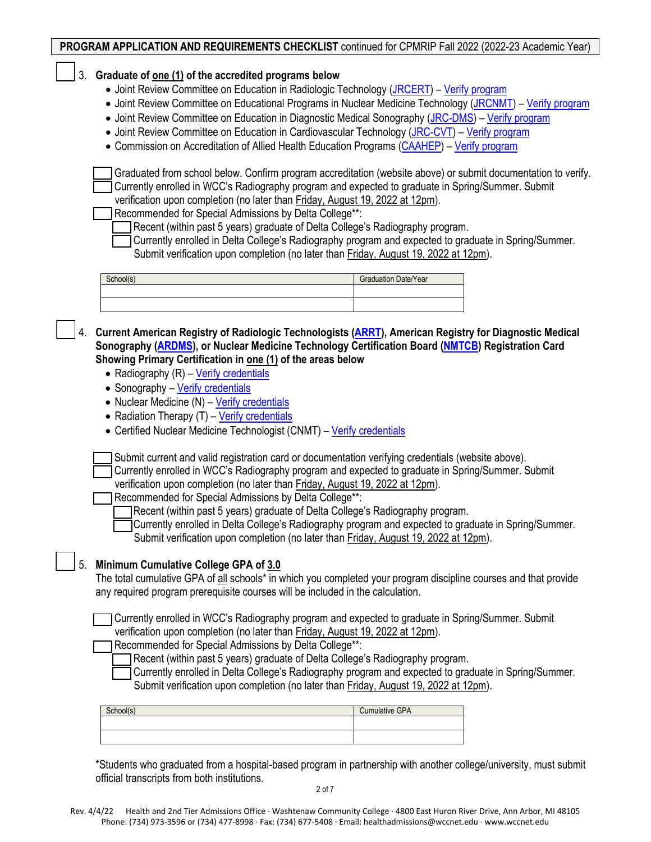|                                                                                                                                                                                                                                                                                                                                                                                                                                                                                                                               | <b>PROGRAM APPLICATION AND REQUIREMENTS CHECKLIST</b> continued for CPMRIP Fall 2022 (2022-23 Academic Year)                                                                                                                                                                                                                                                                                                                                                                                                                                                                                                                                                                                                                                                                                                                                                                                                                                                                                                                                                                                                                                                            |                             |  |  |  |
|-------------------------------------------------------------------------------------------------------------------------------------------------------------------------------------------------------------------------------------------------------------------------------------------------------------------------------------------------------------------------------------------------------------------------------------------------------------------------------------------------------------------------------|-------------------------------------------------------------------------------------------------------------------------------------------------------------------------------------------------------------------------------------------------------------------------------------------------------------------------------------------------------------------------------------------------------------------------------------------------------------------------------------------------------------------------------------------------------------------------------------------------------------------------------------------------------------------------------------------------------------------------------------------------------------------------------------------------------------------------------------------------------------------------------------------------------------------------------------------------------------------------------------------------------------------------------------------------------------------------------------------------------------------------------------------------------------------------|-----------------------------|--|--|--|
| 3.                                                                                                                                                                                                                                                                                                                                                                                                                                                                                                                            | Graduate of <u>one (1)</u> of the accredited programs below<br>• Joint Review Committee on Education in Radiologic Technology (JRCERT) - Verify program                                                                                                                                                                                                                                                                                                                                                                                                                                                                                                                                                                                                                                                                                                                                                                                                                                                                                                                                                                                                                 |                             |  |  |  |
|                                                                                                                                                                                                                                                                                                                                                                                                                                                                                                                               | • Joint Review Committee on Educational Programs in Nuclear Medicine Technology (JRCNMT) - Verify program<br>• Joint Review Committee on Education in Diagnostic Medical Sonography (JRC-DMS) - Verify program<br>• Joint Review Committee on Education in Cardiovascular Technology (JRC-CVT) - Verify program<br>• Commission on Accreditation of Allied Health Education Programs (CAAHEP) – Verify program                                                                                                                                                                                                                                                                                                                                                                                                                                                                                                                                                                                                                                                                                                                                                          |                             |  |  |  |
|                                                                                                                                                                                                                                                                                                                                                                                                                                                                                                                               |                                                                                                                                                                                                                                                                                                                                                                                                                                                                                                                                                                                                                                                                                                                                                                                                                                                                                                                                                                                                                                                                                                                                                                         |                             |  |  |  |
|                                                                                                                                                                                                                                                                                                                                                                                                                                                                                                                               | Graduated from school below. Confirm program accreditation (website above) or submit documentation to verify.<br>Currently enrolled in WCC's Radiography program and expected to graduate in Spring/Summer. Submit<br>verification upon completion (no later than Friday, August 19, 2022 at 12pm).<br>Recommended for Special Admissions by Delta College**:<br>Recent (within past 5 years) graduate of Delta College's Radiography program.<br>Currently enrolled in Delta College's Radiography program and expected to graduate in Spring/Summer.<br>Submit verification upon completion (no later than Friday, August 19, 2022 at 12pm).                                                                                                                                                                                                                                                                                                                                                                                                                                                                                                                          |                             |  |  |  |
|                                                                                                                                                                                                                                                                                                                                                                                                                                                                                                                               | School(s)                                                                                                                                                                                                                                                                                                                                                                                                                                                                                                                                                                                                                                                                                                                                                                                                                                                                                                                                                                                                                                                                                                                                                               | <b>Graduation Date/Year</b> |  |  |  |
|                                                                                                                                                                                                                                                                                                                                                                                                                                                                                                                               |                                                                                                                                                                                                                                                                                                                                                                                                                                                                                                                                                                                                                                                                                                                                                                                                                                                                                                                                                                                                                                                                                                                                                                         |                             |  |  |  |
|                                                                                                                                                                                                                                                                                                                                                                                                                                                                                                                               |                                                                                                                                                                                                                                                                                                                                                                                                                                                                                                                                                                                                                                                                                                                                                                                                                                                                                                                                                                                                                                                                                                                                                                         |                             |  |  |  |
|                                                                                                                                                                                                                                                                                                                                                                                                                                                                                                                               | Current American Registry of Radiologic Technologists (ARRT), American Registry for Diagnostic Medical<br>Sonography (ARDMS), or Nuclear Medicine Technology Certification Board (NMTCB) Registration Card<br>Showing Primary Certification in one (1) of the areas below<br>• Radiography (R) - Verify credentials<br>• Sonography - Verify credentials<br>• Nuclear Medicine (N) - Verify credentials<br>• Radiation Therapy (T) - Verify credentials<br>• Certified Nuclear Medicine Technologist (CNMT) - Verify credentials<br>Submit current and valid registration card or documentation verifying credentials (website above).<br>Currently enrolled in WCC's Radiography program and expected to graduate in Spring/Summer. Submit<br>verification upon completion (no later than Friday, August 19, 2022 at 12pm).<br>Recommended for Special Admissions by Delta College**:<br>Recent (within past 5 years) graduate of Delta College's Radiography program.<br>Currently enrolled in Delta College's Radiography program and expected to graduate in Spring/Summer.<br>Submit verification upon completion (no later than Friday, August 19, 2022 at 12pm). |                             |  |  |  |
| 5.                                                                                                                                                                                                                                                                                                                                                                                                                                                                                                                            | Minimum Cumulative College GPA of 3.0<br>The total cumulative GPA of all schools* in which you completed your program discipline courses and that provide<br>any required program prerequisite courses will be included in the calculation.                                                                                                                                                                                                                                                                                                                                                                                                                                                                                                                                                                                                                                                                                                                                                                                                                                                                                                                             |                             |  |  |  |
| Currently enrolled in WCC's Radiography program and expected to graduate in Spring/Summer. Submit<br>verification upon completion (no later than Friday, August 19, 2022 at 12pm).<br>Recommended for Special Admissions by Delta College**:<br>Recent (within past 5 years) graduate of Delta College's Radiography program.<br>Currently enrolled in Delta College's Radiography program and expected to graduate in Spring/Summer.<br>Submit verification upon completion (no later than Friday, August 19, 2022 at 12pm). |                                                                                                                                                                                                                                                                                                                                                                                                                                                                                                                                                                                                                                                                                                                                                                                                                                                                                                                                                                                                                                                                                                                                                                         |                             |  |  |  |
|                                                                                                                                                                                                                                                                                                                                                                                                                                                                                                                               | School(s)                                                                                                                                                                                                                                                                                                                                                                                                                                                                                                                                                                                                                                                                                                                                                                                                                                                                                                                                                                                                                                                                                                                                                               | <b>Cumulative GPA</b>       |  |  |  |
|                                                                                                                                                                                                                                                                                                                                                                                                                                                                                                                               |                                                                                                                                                                                                                                                                                                                                                                                                                                                                                                                                                                                                                                                                                                                                                                                                                                                                                                                                                                                                                                                                                                                                                                         |                             |  |  |  |
|                                                                                                                                                                                                                                                                                                                                                                                                                                                                                                                               |                                                                                                                                                                                                                                                                                                                                                                                                                                                                                                                                                                                                                                                                                                                                                                                                                                                                                                                                                                                                                                                                                                                                                                         |                             |  |  |  |
|                                                                                                                                                                                                                                                                                                                                                                                                                                                                                                                               |                                                                                                                                                                                                                                                                                                                                                                                                                                                                                                                                                                                                                                                                                                                                                                                                                                                                                                                                                                                                                                                                                                                                                                         |                             |  |  |  |

\*Students who graduated from a hospital-based program in partnership with another college/university, must submit official transcripts from both institutions. 2 of 7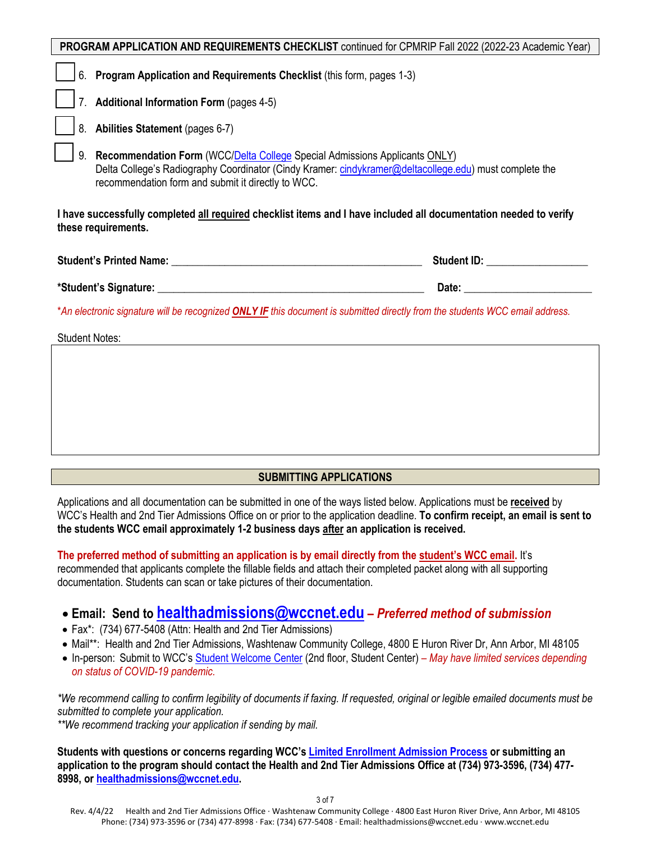| PROGRAM APPLICATION AND REQUIREMENTS CHECKLIST continued for CPMRIP Fall 2022 (2022-23 Academic Year)                                                                                                                                            |                                                                                                                                                                                                                                |  |  |  |  |
|--------------------------------------------------------------------------------------------------------------------------------------------------------------------------------------------------------------------------------------------------|--------------------------------------------------------------------------------------------------------------------------------------------------------------------------------------------------------------------------------|--|--|--|--|
| 6. Program Application and Requirements Checklist (this form, pages 1-3)                                                                                                                                                                         |                                                                                                                                                                                                                                |  |  |  |  |
| 7. Additional Information Form (pages 4-5)                                                                                                                                                                                                       |                                                                                                                                                                                                                                |  |  |  |  |
| 8. Abilities Statement (pages 6-7)                                                                                                                                                                                                               |                                                                                                                                                                                                                                |  |  |  |  |
| Recommendation Form (WCC/Delta College Special Admissions Applicants ONLY)<br>9.<br>Delta College's Radiography Coordinator (Cindy Kramer: cindykramer@deltacollege.edu) must complete the<br>recommendation form and submit it directly to WCC. |                                                                                                                                                                                                                                |  |  |  |  |
| I have successfully completed all required checklist items and I have included all documentation needed to verify<br>these requirements.                                                                                                         |                                                                                                                                                                                                                                |  |  |  |  |
|                                                                                                                                                                                                                                                  |                                                                                                                                                                                                                                |  |  |  |  |
|                                                                                                                                                                                                                                                  | Date: the contract of the contract of the contract of the contract of the contract of the contract of the contract of the contract of the contract of the contract of the contract of the contract of the contract of the cont |  |  |  |  |
| *An electronic signature will be recognized <b>ONLY IF</b> this document is submitted directly from the students WCC email address.                                                                                                              |                                                                                                                                                                                                                                |  |  |  |  |
| <b>Student Notes:</b>                                                                                                                                                                                                                            |                                                                                                                                                                                                                                |  |  |  |  |
|                                                                                                                                                                                                                                                  |                                                                                                                                                                                                                                |  |  |  |  |

## **SUBMITTING APPLICATIONS**

Applications and all documentation can be submitted in one of the ways listed below. Applications must be **received** by WCC's Health and 2nd Tier Admissions Office on or prior to the application deadline. **To confirm receipt, an email is sent to the students WCC email approximately 1-2 business days after an application is received.** 

**The preferred method of submitting an application is by email directly from the student's WCC email.** It's recommended that applicants complete the fillable fields and attach their completed packet along with all supporting documentation. Students can scan or take pictures of their documentation.

# • **Email: Send to [healthadmissions@wccnet.edu](mailto:healthadmissions@wccnet.edu)** *– Preferred method of submission*

- Fax\*: (734) 677-5408 (Attn: Health and 2nd Tier Admissions)
- Mail\*\*: Health and 2nd Tier Admissions, Washtenaw Community College, 4800 E Huron River Dr, Ann Arbor, MI 48105
- In-person: Submit to WCC'[s Student Welcome Center](https://www.wccnet.edu/start-now/student-welcome-center.php) (2nd floor, Student Center)  *May have limited services depending on status of COVID-19 pandemic.*

*\*We recommend calling to confirm legibility of documents if faxing. If requested, original or legible emailed documents must be submitted to complete your application.*

*\*\*We recommend tracking your application if sending by mail.*

**Students with questions or concerns regarding WCC'[s Limited Enrollment Admission Process](https://www.wccnet.edu/start-now/degree/2nd-tier/#:%7E:text=2023%20academic%20year-,Limited%20Enrollment%20Admission%20Process,-The%20limited%20enrollment) or submitting an application to the program should contact the Health and 2nd Tier Admissions Office at (734) 973-3596, (734) 477- 8998, o[r healthadmissions@wccnet.edu.](mailto:healthadmissions@wccnet.edu)**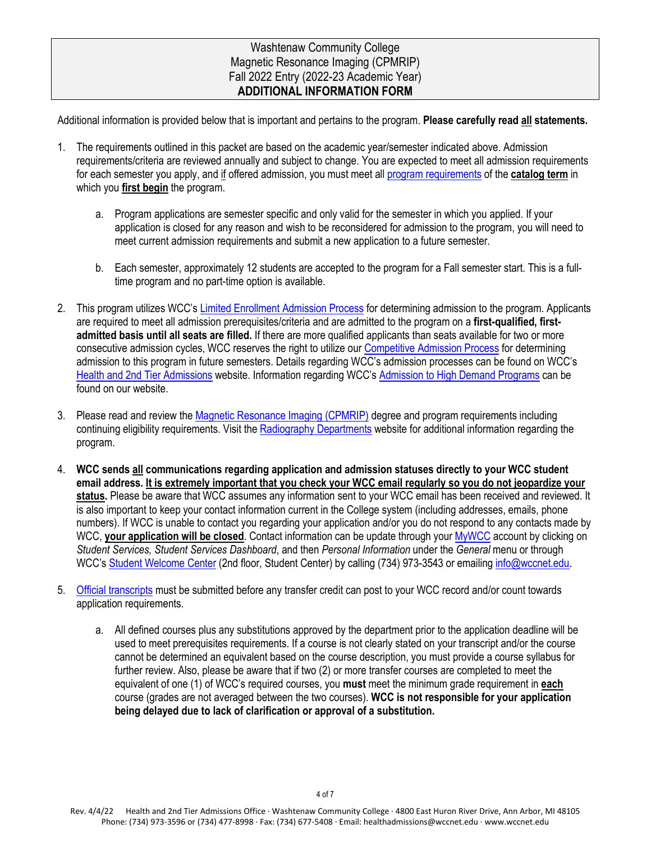## Washtenaw Community College Magnetic Resonance Imaging (CPMRIP) Fall 2022 Entry (2022-23 Academic Year) **ADDITIONAL INFORMATION FORM**

Additional information is provided below that is important and pertains to the program. **Please carefully read all statements.**

- 1. The requirements outlined in this packet are based on the academic year/semester indicated above. Admission requirements/criteria are reviewed annually and subject to change. You are expected to meet all admission requirements for each semester you apply, and if offered admission, you must meet all [program requirements](https://catalog.wccnet.edu/current/programs/cpmrip.php) of the **catalog term** in which you **first begin** the program.
	- a. Program applications are semester specific and only valid for the semester in which you applied. If your application is closed for any reason and wish to be reconsidered for admission to the program, you will need to meet current admission requirements and submit a new application to a future semester.
	- b. Each semester, approximately 12 students are accepted to the program for a Fall semester start. This is a fulltime program and no part-time option is available.
- 2. This program utilizes WCC's [Limited Enrollment Admission Process](https://www.wccnet.edu/start-now/degree/2nd-tier/#:%7E:text=2023%20academic%20year-,Limited%20Enrollment%20Admission%20Process,-The%20limited%20enrollment) for determining admission to the program. Applicants are required to meet all admission prerequisites/criteria and are admitted to the program on a **first-qualified, firstadmitted basis until all seats are filled.** If there are more qualified applicants than seats available for two or more consecutive admission cycles, WCC reserves the right to utilize ou[r Competitive Admission Process](https://www.wccnet.edu/webfiles/health/web/pointscales/2022-2023-point-scales.pdf) for determining admission to this program in future semesters. Details regarding WCC's admission processes can be found on WCC's [Health and 2nd Tier Admissions](https://www.wccnet.edu/start-now/degree/2nd-tier/) website. Information regarding WCC's [Admission to High Demand Programs](https://www.wccnet.edu/about/policies/2005.php#:%7E:text=of%20these%20programs.-,Admission%20to%20High%20Demand%20Programs,-The%20Administration%20will) can be found on our website.
- 3. Please read and review the [Magnetic Resonance Imaging \(CPMRIP\)](https://catalog.wccnet.edu/current/programs/cpmrip.php) degree and program requirements including continuing eligibility requirements. Visit th[e Radiography Departments](https://www.wccnet.edu/learn/departments/alhd/radiography/) website for additional information regarding the program.
- 4. **WCC sends all communications regarding application and admission statuses directly to your WCC student email address. It is extremely important that you check your WCC email regularly so you do not jeopardize your status.** Please be aware that WCC assumes any information sent to your WCC email has been received and reviewed. It is also important to keep your contact information current in the College system (including addresses, emails, phone numbers). If WCC is unable to contact you regarding your application and/or you do not respond to any contacts made by WCC, **vour application will be closed**. Contact information can be update through your **MyWCC** account by clicking on *Student Services, Student Services Dashboard*, and then *Personal Information* under the *General* menu or through WCC'[s Student Welcome Center](https://www.wccnet.edu/start-now/student-welcome-center.php) (2nd floor, Student Center) by calling (734) 973-3543 or emailing [info@wccnet.edu.](mailto:info@wccnet.edu)
- 5. [Official transcripts](https://www.wccnet.edu/start-now/degree/transfer-to-wcc.php) must be submitted before any transfer credit can post to your WCC record and/or count towards application requirements.
	- a. All defined courses plus any substitutions approved by the department prior to the application deadline will be used to meet prerequisites requirements. If a course is not clearly stated on your transcript and/or the course cannot be determined an equivalent based on the course description, you must provide a course syllabus for further review. Also, please be aware that if two (2) or more transfer courses are completed to meet the equivalent of one (1) of WCC's required courses, you **must** meet the minimum grade requirement in **each** course (grades are not averaged between the two courses). **WCC is not responsible for your application being delayed due to lack of clarification or approval of a substitution.**

Rev. 4/4/22 Health and 2nd Tier Admissions Office · Washtenaw Community College · 4800 East Huron River Drive, Ann Arbor, MI 48105 Phone: (734) 973-3596 or (734) 477-8998 · Fax: (734) 677-5408 · Email: healthadmissions@wccnet.edu · www.wccnet.edu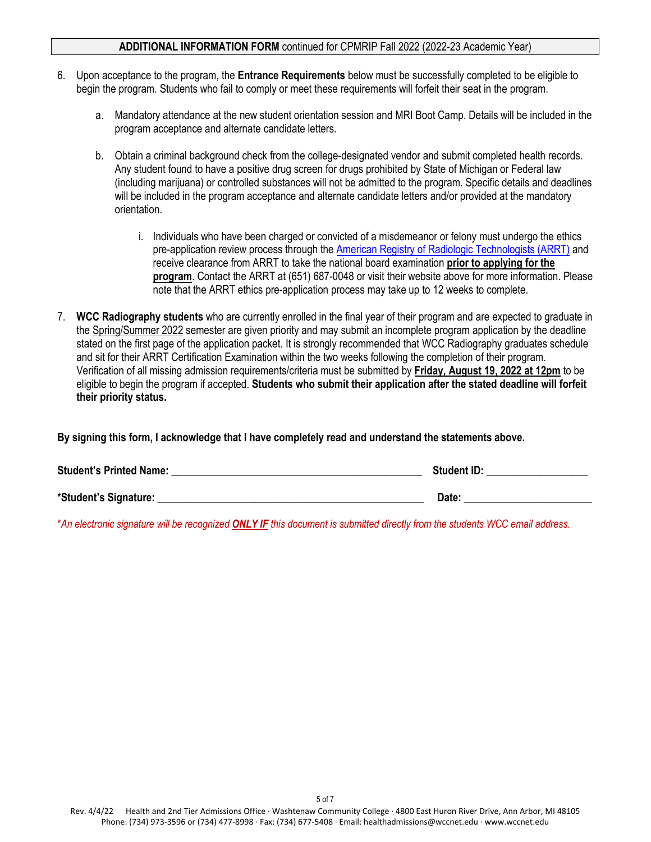#### **ADDITIONAL INFORMATION FORM** continued for CPMRIP Fall 2022 (2022-23 Academic Year)

- 6. Upon acceptance to the program, the **Entrance Requirements** below must be successfully completed to be eligible to begin the program. Students who fail to comply or meet these requirements will forfeit their seat in the program.
	- a. Mandatory attendance at the new student orientation session and MRI Boot Camp. Details will be included in the program acceptance and alternate candidate letters.
	- b. Obtain a criminal background check from the college-designated vendor and submit completed health records. Any student found to have a positive drug screen for drugs prohibited by State of Michigan or Federal law (including marijuana) or controlled substances will not be admitted to the program. Specific details and deadlines will be included in the program acceptance and alternate candidate letters and/or provided at the mandatory orientation.
		- i. Individuals who have been charged or convicted of a misdemeanor or felony must undergo the ethics pre-application review process through th[e American Registry of Radiologic Technologists \(ARRT\)](https://www.arrt.org/) and receive clearance from ARRT to take the national board examination **prior to applying for the program**. Contact the ARRT at (651) 687-0048 or visit their website above for more information. Please note that the ARRT ethics pre-application process may take up to 12 weeks to complete.
- 7. **WCC Radiography students** who are currently enrolled in the final year of their program and are expected to graduate in the Spring/Summer 2022 semester are given priority and may submit an incomplete program application by the deadline stated on the first page of the application packet. It is strongly recommended that WCC Radiography graduates schedule and sit for their ARRT Certification Examination within the two weeks following the completion of their program. Verification of all missing admission requirements/criteria must be submitted by **Friday, August 19, 2022 at 12pm** to be eligible to begin the program if accepted. **Students who submit their application after the stated deadline will forfeit their priority status.**

**By signing this form, I acknowledge that I have completely read and understand the statements above.** 

| <b>Student's Printed Name:</b> | <b>Student ID:</b> |
|--------------------------------|--------------------|
| *Student's Signature:          | Date:              |

\**An electronic signature will be recognized ONLY IF this document is submitted directly from the students WCC email address.*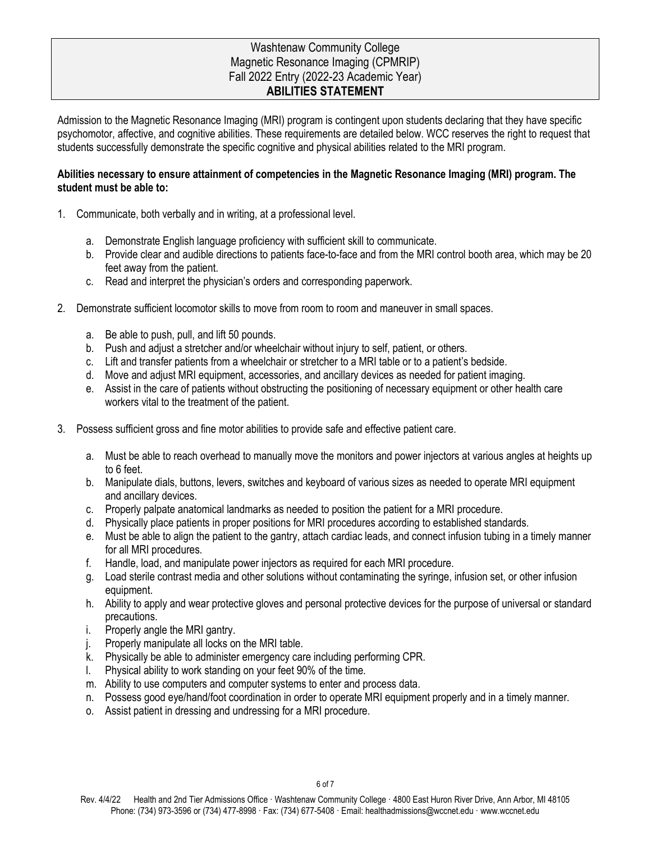## Washtenaw Community College Magnetic Resonance Imaging (CPMRIP) Fall 2022 Entry (2022-23 Academic Year) **ABILITIES STATEMENT**

Admission to the Magnetic Resonance Imaging (MRI) program is contingent upon students declaring that they have specific psychomotor, affective, and cognitive abilities. These requirements are detailed below. WCC reserves the right to request that students successfully demonstrate the specific cognitive and physical abilities related to the MRI program.

## **Abilities necessary to ensure attainment of competencies in the Magnetic Resonance Imaging (MRI) program. The student must be able to:**

- 1. Communicate, both verbally and in writing, at a professional level.
	- a. Demonstrate English language proficiency with sufficient skill to communicate.
	- b. Provide clear and audible directions to patients face-to-face and from the MRI control booth area, which may be 20 feet away from the patient.
	- c. Read and interpret the physician's orders and corresponding paperwork.
- 2. Demonstrate sufficient locomotor skills to move from room to room and maneuver in small spaces.
	- a. Be able to push, pull, and lift 50 pounds.
	- b. Push and adjust a stretcher and/or wheelchair without injury to self, patient, or others.
	- c. Lift and transfer patients from a wheelchair or stretcher to a MRI table or to a patient's bedside.
	- d. Move and adjust MRI equipment, accessories, and ancillary devices as needed for patient imaging.
	- e. Assist in the care of patients without obstructing the positioning of necessary equipment or other health care workers vital to the treatment of the patient.
- 3. Possess sufficient gross and fine motor abilities to provide safe and effective patient care.
	- a. Must be able to reach overhead to manually move the monitors and power injectors at various angles at heights up to 6 feet.
	- b. Manipulate dials, buttons, levers, switches and keyboard of various sizes as needed to operate MRI equipment and ancillary devices.
	- c. Properly palpate anatomical landmarks as needed to position the patient for a MRI procedure.
	- d. Physically place patients in proper positions for MRI procedures according to established standards.
	- e. Must be able to align the patient to the gantry, attach cardiac leads, and connect infusion tubing in a timely manner for all MRI procedures.
	- f. Handle, load, and manipulate power injectors as required for each MRI procedure.
	- g. Load sterile contrast media and other solutions without contaminating the syringe, infusion set, or other infusion equipment.
	- h. Ability to apply and wear protective gloves and personal protective devices for the purpose of universal or standard precautions.
	- i. Properly angle the MRI gantry.
	- j. Properly manipulate all locks on the MRI table.
	- k. Physically be able to administer emergency care including performing CPR.
	- l. Physical ability to work standing on your feet 90% of the time.
	- m. Ability to use computers and computer systems to enter and process data.
	- n. Possess good eye/hand/foot coordination in order to operate MRI equipment properly and in a timely manner.
	- o. Assist patient in dressing and undressing for a MRI procedure.